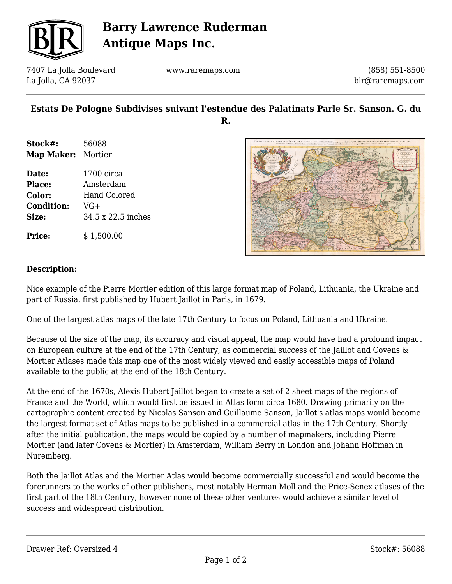

## **Barry Lawrence Ruderman Antique Maps Inc.**

7407 La Jolla Boulevard La Jolla, CA 92037

www.raremaps.com

(858) 551-8500 blr@raremaps.com

## **Estats De Pologne Subdivises suivant l'estendue des Palatinats Parle Sr. Sanson. G. du R.**

- **Stock#:** 56088 **Map Maker:** Mortier
- **Date:** 1700 circa **Place:** Amsterdam **Color:** Hand Colored **Condition:** VG+ **Size:** 34.5 x 22.5 inches

**Price:**  $$ 1,500.00$ 



#### **Description:**

Nice example of the Pierre Mortier edition of this large format map of Poland, Lithuania, the Ukraine and part of Russia, first published by Hubert Jaillot in Paris, in 1679.

One of the largest atlas maps of the late 17th Century to focus on Poland, Lithuania and Ukraine.

Because of the size of the map, its accuracy and visual appeal, the map would have had a profound impact on European culture at the end of the 17th Century, as commercial success of the Jaillot and Covens & Mortier Atlases made this map one of the most widely viewed and easily accessible maps of Poland available to the public at the end of the 18th Century.

At the end of the 1670s, Alexis Hubert Jaillot began to create a set of 2 sheet maps of the regions of France and the World, which would first be issued in Atlas form circa 1680. Drawing primarily on the cartographic content created by Nicolas Sanson and Guillaume Sanson, Jaillot's atlas maps would become the largest format set of Atlas maps to be published in a commercial atlas in the 17th Century. Shortly after the initial publication, the maps would be copied by a number of mapmakers, including Pierre Mortier (and later Covens & Mortier) in Amsterdam, William Berry in London and Johann Hoffman in Nuremberg.

Both the Jaillot Atlas and the Mortier Atlas would become commercially successful and would become the forerunners to the works of other publishers, most notably Herman Moll and the Price-Senex atlases of the first part of the 18th Century, however none of these other ventures would achieve a similar level of success and widespread distribution.